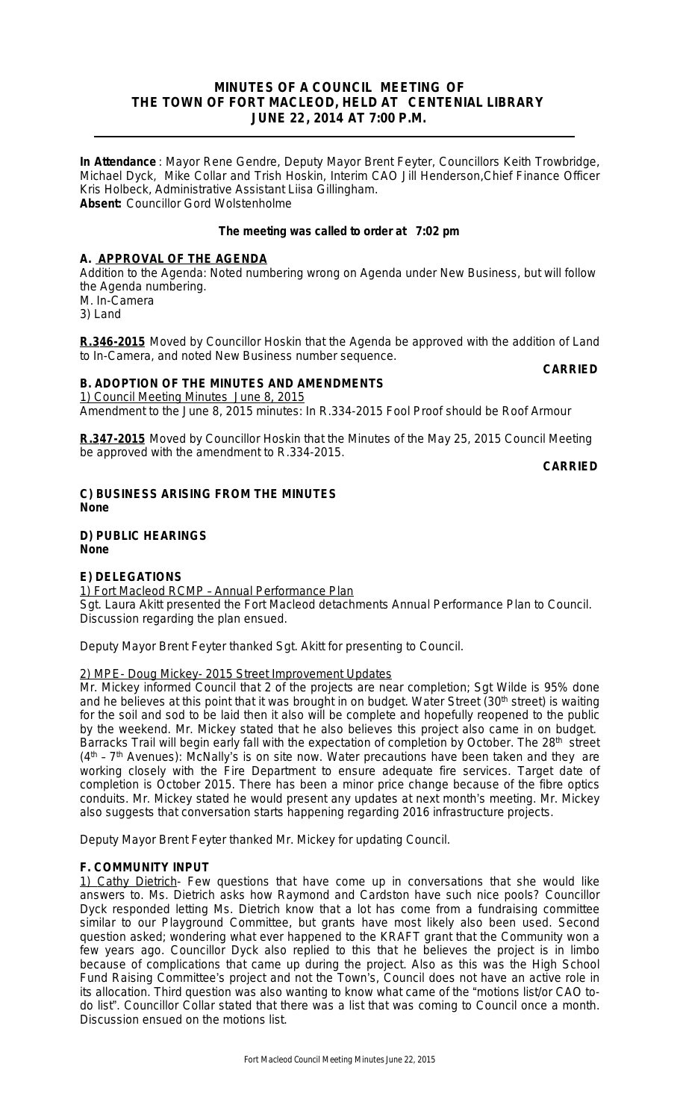## **MINUTES OF A COUNCIL MEETING OF THE TOWN OF FORT MACLEOD, HELD AT CENTENIAL LIBRARY JUNE 22, 2014 AT 7:00 P.M.**

**In Attendance** : Mayor Rene Gendre, Deputy Mayor Brent Feyter, Councillors Keith Trowbridge, Michael Dyck, Mike Collar and Trish Hoskin, Interim CAO Jill Henderson,Chief Finance Officer Kris Holbeck, Administrative Assistant Liisa Gillingham. **Absent:** Councillor Gord Wolstenholme

## **The meeting was called to order at 7:02 pm**

## **A. APPROVAL OF THE AGENDA**

Addition to the Agenda: Noted numbering wrong on Agenda under New Business, but will follow the Agenda numbering. M. In-Camera

3) Land

**R.346-2015** Moved by Councillor Hoskin that the Agenda be approved with the addition of Land to In-Camera, and noted New Business number sequence.

# **CARRIED**

## **B. ADOPTION OF THE MINUTES AND AMENDMENTS**

1) Council Meeting Minutes June 8, 2015 Amendment to the June 8, 2015 minutes: *In R.334-2015 Fool Proof should be Roof Armour*

**R.347-2015** Moved by Councillor Hoskin that the Minutes of the May 25, 2015 Council Meeting be approved with the amendment to R.334-2015.

**CARRIED**

## **C) BUSINESS ARISING FROM THE MINUTES None**

**D) PUBLIC HEARINGS None**

## **E) DELEGATIONS**

1) Fort Macleod RCMP – Annual Performance Plan Sgt. Laura Akitt presented the Fort Macleod detachments Annual Performance Plan to Council. Discussion regarding the plan ensued.

Deputy Mayor Brent Feyter thanked Sgt. Akitt for presenting to Council.

## 2) MPE- Doug Mickey- 2015 Street Improvement Updates

Mr. Mickey informed Council that 2 of the projects are near completion; Sgt Wilde is 95% done and he believes at this point that it was brought in on budget. Water Street (30<sup>th</sup> street) is waiting for the soil and sod to be laid then it also will be complete and hopefully reopened to the public by the weekend. Mr. Mickey stated that he also believes this project also came in on budget. Barracks Trail will begin early fall with the expectation of completion by October. The 28<sup>th</sup> street (4<sup>th</sup> - 7<sup>th</sup> Avenues): McNally's is on site now. Water precautions have been taken and they are working closely with the Fire Department to ensure adequate fire services. Target date of completion is October 2015. There has been a minor price change because of the fibre optics conduits. Mr. Mickey stated he would present any updates at next month's meeting. Mr. Mickey also suggests that conversation starts happening regarding 2016 infrastructure projects.

Deputy Mayor Brent Feyter thanked Mr. Mickey for updating Council.

## **F. COMMUNITY INPUT**

1) Cathy Dietrich- Few questions that have come up in conversations that she would like answers to. Ms. Dietrich asks how Raymond and Cardston have such nice pools? Councillor Dyck responded letting Ms. Dietrich know that a lot has come from a fundraising committee similar to our Playground Committee, but grants have most likely also been used. Second question asked; wondering what ever happened to the KRAFT grant that the Community won a few years ago. Councillor Dyck also replied to this that he believes the project is in limbo because of complications that came up during the project. Also as this was the High School Fund Raising Committee's project and not the Town's, Council does not have an active role in its allocation. Third question was also wanting to know what came of the "motions list/or CAO todo list". Councillor Collar stated that there was a list that was coming to Council once a month. Discussion ensued on the motions list.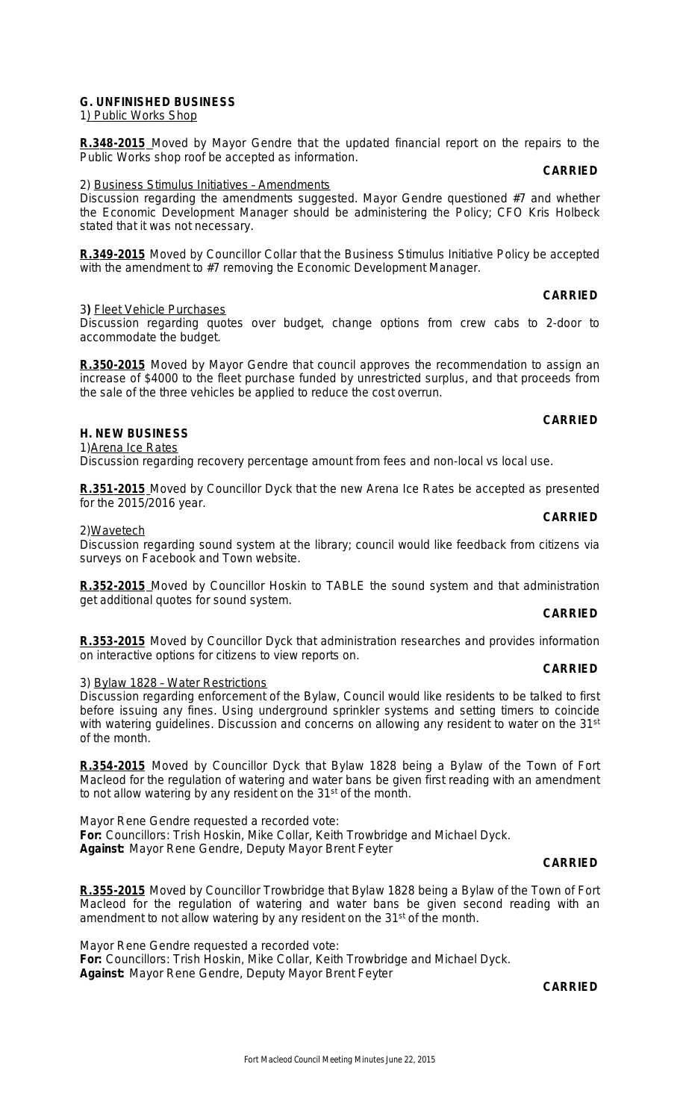## **G. UNFINISHED BUSINESS**

1) Public Works Shop

**R.348-2015** Moved by Mayor Gendre that the updated financial report on the repairs to the Public Works shop roof be accepted as information.

#### 2) Business Stimulus Initiatives – Amendments

Discussion regarding the amendments suggested. Mayor Gendre questioned #7 and whether the Economic Development Manager should be administering the Policy; CFO Kris Holbeck stated that it was not necessary.

**R.349-2015** Moved by Councillor Collar that the Business Stimulus Initiative Policy be accepted with the amendment to #7 removing the Economic Development Manager.

## **CARRIED**

**CARRIED**

#### 3**)** Fleet Vehicle Purchases

Discussion regarding quotes over budget, change options from crew cabs to 2-door to accommodate the budget.

**R.350-2015** Moved by Mayor Gendre that council approves the recommendation to assign an increase of \$4000 to the fleet purchase funded by unrestricted surplus, and that proceeds from the sale of the three vehicles be applied to reduce the cost overrun.

## **CARRIED**

**CARRIED**

#### **H. NEW BUSINESS** 1) Arena Ice Rates

Discussion regarding recovery percentage amount from fees and non-local vs local use.

**R.351-2015** Moved by Councillor Dyck that the new Arena Ice Rates be accepted as presented for the 2015/2016 year.

#### 2)Wavetech

Discussion regarding sound system at the library; council would like feedback from citizens via surveys on Facebook and Town website.

**R.352-2015** Moved by Councillor Hoskin to TABLE the sound system and that administration get additional quotes for sound system.

## **CARRIED**

**R.353-2015** Moved by Councillor Dyck that administration researches and provides information on interactive options for citizens to view reports on.

#### **CARRIED**

#### 3) Bylaw 1828 – Water Restrictions Discussion regarding enforcement of the Bylaw, Council would like residents to be talked to first before issuing any fines. Using underground sprinkler systems and setting timers to coincide with watering guidelines. Discussion and concerns on allowing any resident to water on the 31<sup>st</sup> of the month.

**R.354-2015** Moved by Councillor Dyck that Bylaw 1828 being a Bylaw of the Town of Fort Macleod for the regulation of watering and water bans be given first reading with an amendment to not allow watering by any resident on the 31<sup>st</sup> of the month.

Mayor Rene Gendre requested a recorded vote: **For:** Councillors: Trish Hoskin, Mike Collar, Keith Trowbridge and Michael Dyck. **Against:** Mayor Rene Gendre, Deputy Mayor Brent Feyter

## **CARRIED**

**R.355-2015** Moved by Councillor Trowbridge that Bylaw 1828 being a Bylaw of the Town of Fort Macleod for the regulation of watering and water bans be given second reading with an amendment to not allow watering by any resident on the 31<sup>st</sup> of the month.

Mayor Rene Gendre requested a recorded vote: **For:** Councillors: Trish Hoskin, Mike Collar, Keith Trowbridge and Michael Dyck. **Against:** Mayor Rene Gendre, Deputy Mayor Brent Feyter

**CARRIED**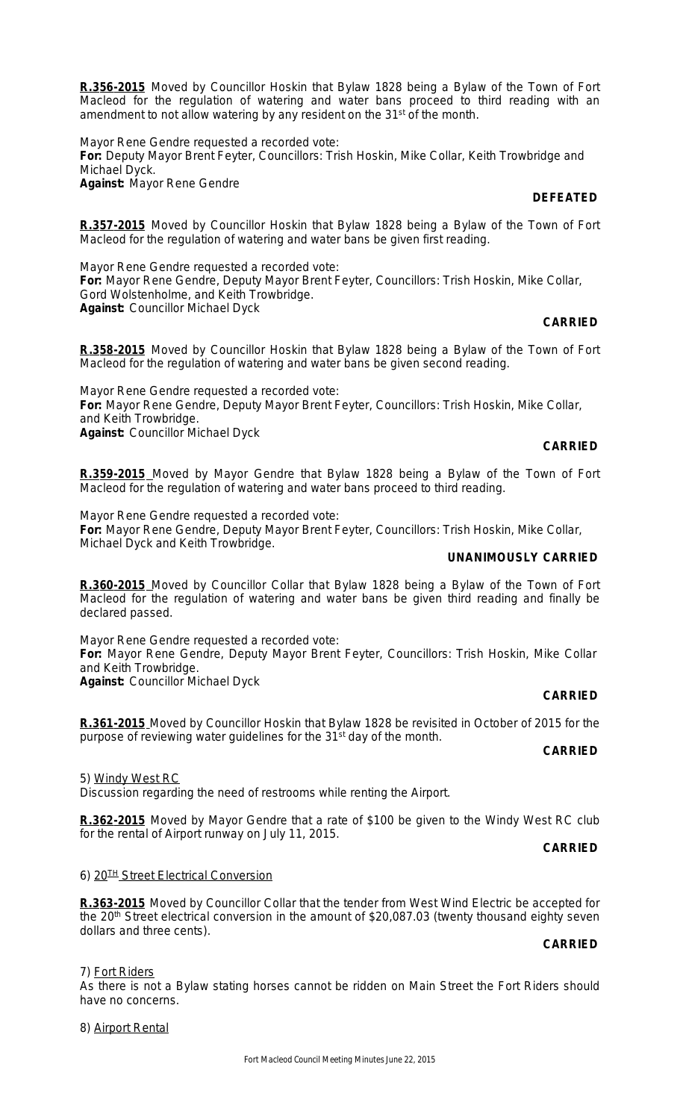**R.356-2015** Moved by Councillor Hoskin that Bylaw 1828 being a Bylaw of the Town of Fort Macleod for the regulation of watering and water bans proceed to third reading with an amendment to not allow watering by any resident on the 31<sup>st</sup> of the month.

Mayor Rene Gendre requested a recorded vote: **For:** Deputy Mayor Brent Feyter, Councillors: Trish Hoskin, Mike Collar, Keith Trowbridge and Michael Dyck. **Against:** Mayor Rene Gendre

## **DEFEATED**

**R.357-2015** Moved by Councillor Hoskin that Bylaw 1828 being a Bylaw of the Town of Fort Macleod for the regulation of watering and water bans be given first reading.

Mayor Rene Gendre requested a recorded vote: **For:** Mayor Rene Gendre, Deputy Mayor Brent Feyter, Councillors: Trish Hoskin, Mike Collar, Gord Wolstenholme, and Keith Trowbridge. **Against:** Councillor Michael Dyck

## **CARRIED**

**R.358-2015** Moved by Councillor Hoskin that Bylaw 1828 being a Bylaw of the Town of Fort Macleod for the regulation of watering and water bans be given second reading.

Mayor Rene Gendre requested a recorded vote: **For:** Mayor Rene Gendre, Deputy Mayor Brent Feyter, Councillors: Trish Hoskin, Mike Collar, and Keith Trowbridge. **Against:** Councillor Michael Dyck

## **CARRIED**

**R.359-2015** Moved by Mayor Gendre that Bylaw 1828 being a Bylaw of the Town of Fort Macleod for the regulation of watering and water bans proceed to third reading.

Mayor Rene Gendre requested a recorded vote: **For:** Mayor Rene Gendre, Deputy Mayor Brent Feyter, Councillors: Trish Hoskin, Mike Collar, Michael Dyck and Keith Trowbridge.

## **UNANIMOUSLY CARRIED**

**R.360-2015** Moved by Councillor Collar that Bylaw 1828 being a Bylaw of the Town of Fort Macleod for the regulation of watering and water bans be given third reading and finally be declared passed.

Mayor Rene Gendre requested a recorded vote: **For:** Mayor Rene Gendre, Deputy Mayor Brent Feyter, Councillors: Trish Hoskin, Mike Collar and Keith Trowbridge. **Against:** Councillor Michael Dyck

## **CARRIED**

**R.361-2015** Moved by Councillor Hoskin that Bylaw 1828 be revisited in October of 2015 for the purpose of reviewing water guidelines for the 31<sup>st</sup> day of the month.

## **CARRIED**

5) Windy West RC

Discussion regarding the need of restrooms while renting the Airport.

**R.362-2015** Moved by Mayor Gendre that a rate of \$100 be given to the Windy West RC club for the rental of Airport runway on July 11, 2015.

## **CARRIED**

## 6) 20<sup>TH</sup> Street Electrical Conversion

**R.363-2015** Moved by Councillor Collar that the tender from West Wind Electric be accepted for the 20<sup>th</sup> Street electrical conversion in the amount of \$20,087.03 (twenty thousand eighty seven dollars and three cents).

## **CARRIED**

7) Fort Riders

As there is not a Bylaw stating horses cannot be ridden on Main Street the Fort Riders should have no concerns.

8) Airport Rental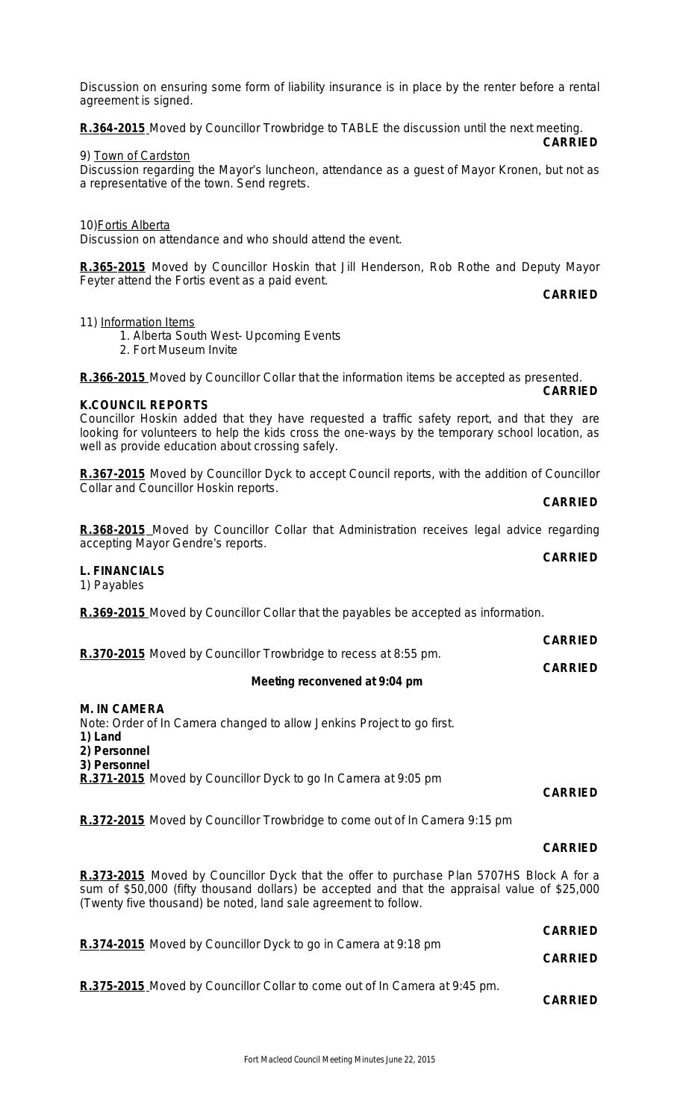Discussion on ensuring some form of liability insurance is in place by the renter before a rental agreement is signed.

**R.364-2015** Moved by Councillor Trowbridge to TABLE the discussion until the next meeting. **CARRIED**

#### 9) Town of Cardston

Discussion regarding the Mayor's luncheon, attendance as a guest of Mayor Kronen, but not as a representative of the town. Send regrets.

## 10) Fortis Alberta

Discussion on attendance and who should attend the event.

**R.365-2015** Moved by Councillor Hoskin that Jill Henderson, Rob Rothe and Deputy Mayor Feyter attend the Fortis event as a paid event.

**CARRIED**

11) Information Items

- 1. Alberta South West- Upcoming Events
- 2. Fort Museum Invite

**R.366-2015** Moved by Councillor Collar that the information items be accepted as presented. **CARRIED**

## **K.COUNCIL REPORTS**

Councillor Hoskin added that they have requested a traffic safety report, and that they are looking for volunteers to help the kids cross the one-ways by the temporary school location, as well as provide education about crossing safely.

**R.367-2015** Moved by Councillor Dyck to accept Council reports, with the addition of Councillor Collar and Councillor Hoskin reports.

#### **CARRIED**

**R.368-2015** Moved by Councillor Collar that Administration receives legal advice regarding accepting Mayor Gendre's reports. **CARRIED**

## **L. FINANCIALS**

1) Payables

**R.369-2015** Moved by Councillor Collar that the payables be accepted as information.

|                                                                 | <b>CARRIED</b> |
|-----------------------------------------------------------------|----------------|
| R.370-2015 Moved by Councillor Trowbridge to recess at 8:55 pm. |                |
|                                                                 | <b>CARRIED</b> |

## **Meeting reconvened at 9:04 pm**

## **M. IN CAMERA**

Note: Order of In Camera changed to allow Jenkins Project to go first.

- **1) Land**
- **2) Personnel**
- **3) Personnel**

**R.371-2015** Moved by Councillor Dyck to go In Camera at 9:05 pm

## **CARRIED**

**R.372-2015** Moved by Councillor Trowbridge to come out of In Camera 9:15 pm

## **CARRIED**

**CARRIED**

**R.373-2015** Moved by Councillor Dyck that the offer to purchase Plan 5707HS Block A for a sum of \$50,000 (fifty thousand dollars) be accepted and that the appraisal value of \$25,000 (Twenty five thousand) be noted, land sale agreement to follow.

| R.374-2015 Moved by Councillor Dyck to go in Camera at 9:18 pm                    | <b>UARRIED</b> |
|-----------------------------------------------------------------------------------|----------------|
|                                                                                   | <b>CARRIED</b> |
| <b>R.375-2015</b> Moved by Councillor Collar to come out of In Camera at 9:45 pm. | <b>CARRIED</b> |